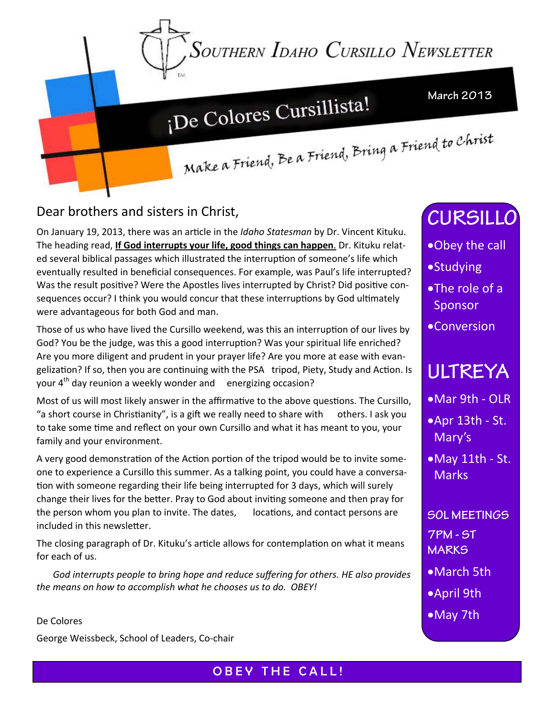Southern Idaho Cursillo Newsletter

# ¡De Colores Cursillista!

**March 2013** 

Make a Friend, Be a Friend, Bring a Friend to Christ

Dear brothers and sisters in Christ,

On January 19, 2013, there was an arƟcle in the *Idaho Statesman* by Dr. Vincent Kituku. The heading read, **If God interrupts your life, good things can happen**. Dr. Kituku relat‐ ed several biblical passages which illustrated the interruption of someone's life which eventually resulted in beneficial consequences. For example, was Paul's life interrupted? Was the result positive? Were the Apostles lives interrupted by Christ? Did positive consequences occur? I think you would concur that these interruptions by God ultimately were advantageous for both God and man.

Those of us who have lived the Cursillo weekend, was this an interruption of our lives by God? You be the judge, was this a good interruption? Was your spiritual life enriched? Are you more diligent and prudent in your prayer life? Are you more at ease with evan‐ gelization? If so, then you are continuing with the PSA tripod, Piety, Study and Action. Is your  $4<sup>th</sup>$  day reunion a weekly wonder and energizing occasion?

Most of us will most likely answer in the affirmative to the above questions. The Cursillo, "a short course in Christianity", is a gift we really need to share with  $\cdot$  others. I ask you to take some time and reflect on your own Cursillo and what it has meant to you, your family and your environment.

A very good demonstration of the Action portion of the tripod would be to invite someone to experience a Cursillo this summer. As a talking point, you could have a conversation with someone regarding their life being interrupted for 3 days, which will surely change their lives for the better. Pray to God about inviting someone and then pray for the person whom you plan to invite. The dates, locations, and contact persons are included in this newsletter.

The closing paragraph of Dr. Kituku's article allows for contemplation on what it means for each of us.

 *God interrupts people to bring hope and reduce suffering for others. HE also provides the means on how to accomplish what he chooses us to do. OBEY!*

De Colores George Weissbeck, School of Leaders, Co‐chair **CURSILLO** 

- Obey the call
- **•Studying**
- The role of a Sponsor
- Conversion

## **ULTREYA**

- ■Mar 9th OLR
- Apr 13th ‐ St. Mary's
- May 11th ‐ St. **Marks**

**SOL MEETINGS 7PM - ST MARKS** 

- March 5th
- April 9th
- May 7th

OBEY THE CALL!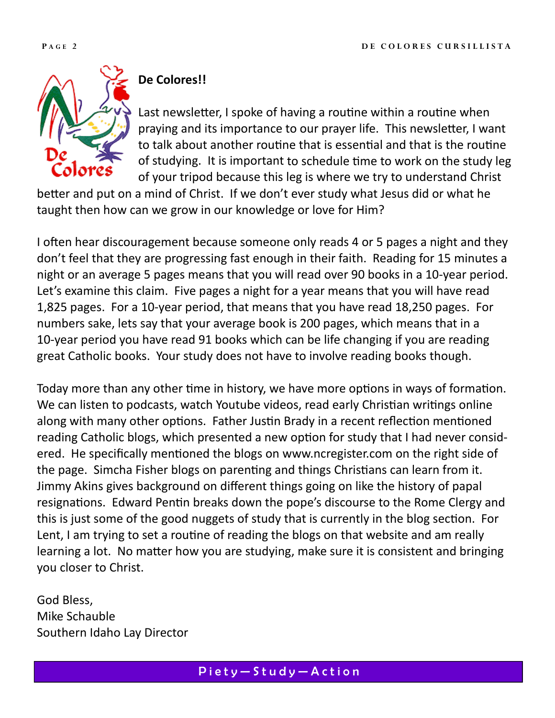

### **De Colores!!**

Last newsletter, I spoke of having a routine within a routine when praying and its importance to our prayer life. This newsletter, I want to talk about another routine that is essential and that is the routine of studying. It is important to schedule time to work on the study leg of your tripod because this leg is where we try to understand Christ

better and put on a mind of Christ. If we don't ever study what Jesus did or what he taught then how can we grow in our knowledge or love for Him?

I often hear discouragement because someone only reads 4 or 5 pages a night and they don't feel that they are progressing fast enough in their faith. Reading for 15 minutes a night or an average 5 pages means that you will read over 90 books in a 10‐year period. Let's examine this claim. Five pages a night for a year means that you will have read 1,825 pages. For a 10‐year period, that means that you have read 18,250 pages. For numbers sake, lets say that your average book is 200 pages, which means that in a 10‐year period you have read 91 books which can be life changing if you are reading great Catholic books. Your study does not have to involve reading books though.

Today more than any other time in history, we have more options in ways of formation. We can listen to podcasts, watch Youtube videos, read early Christian writings online along with many other options. Father Justin Brady in a recent reflection mentioned reading Catholic blogs, which presented a new option for study that I had never considered. He specifically mentioned the blogs on www.ncregister.com on the right side of the page. Simcha Fisher blogs on parenting and things Christians can learn from it. Jimmy Akins gives background on different things going on like the history of papal resignations. Edward Pentin breaks down the pope's discourse to the Rome Clergy and this is just some of the good nuggets of study that is currently in the blog section. For Lent, I am trying to set a routine of reading the blogs on that website and am really learning a lot. No matter how you are studying, make sure it is consistent and bringing you closer to Christ.

God Bless, Mike Schauble Southern Idaho Lay Director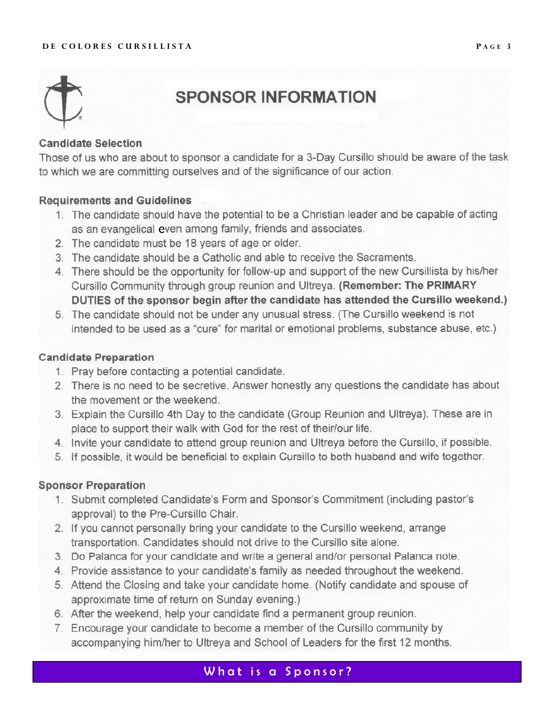#### DE COLORES CURSILLISTA



## **SPONSOR INFORMATION**

#### **Candidate Selection**

Those of us who are about to sponsor a candidate for a 3-Day Cursillo should be aware of the task to which we are committing ourselves and of the significance of our action.

#### **Requirements and Guidelines**

- 1. The candidate should have the potential to be a Christian leader and be capable of acting as an evangelical even among family, friends and associates.
- 2. The candidate must be 18 years of age or older.
- 3. The candidate should be a Catholic and able to receive the Sacraments.
- 4. There should be the opportunity for follow-up and support of the new Cursillista by his/her Cursillo Community through group reunion and Ultreya. (Remember: The PRIMARY DUTIES of the sponsor begin after the candidate has attended the Cursillo weekend.)
- 5. The candidate should not be under any unusual stress. (The Cursillo weekend is not intended to be used as a "cure" for marital or emotional problems, substance abuse, etc.)

#### **Candidate Preparation**

- 1. Pray before contacting a potential candidate.
- 2. There is no need to be secretive. Answer honestly any questions the candidate has about the movement or the weekend.
- 3. Explain the Cursillo 4th Day to the candidate (Group Reunion and Ultreya). These are in place to support their walk with God for the rest of their/our life.
- 4. Invite your candidate to attend group reunion and Ultreya before the Cursillo, if possible.
- 5. If possible, it would be beneficial to explain Cursillo to both husband and wife together.

#### **Sponsor Preparation**

- 1. Submit completed Candidate's Form and Sponsor's Commitment (including pastor's approval) to the Pre-Cursillo Chair.
- 2. If you cannot personally bring your candidate to the Cursillo weekend, arrange transportation. Candidates should not drive to the Cursillo site alone.
- 3. Do Palanca for your candidate and write a general and/or personal Palanca note.
- 4. Provide assistance to your candidate's family as needed throughout the weekend.
- 5. Attend the Closing and take your candidate home. (Notify candidate and spouse of approximate time of return on Sunday evening.)
- 6. After the weekend, help your candidate find a permanent group reunion.
- 7. Encourage your candidate to become a member of the Cursillo community by accompanying him/her to Ultreya and School of Leaders for the first 12 months.

#### What is a Sponsor?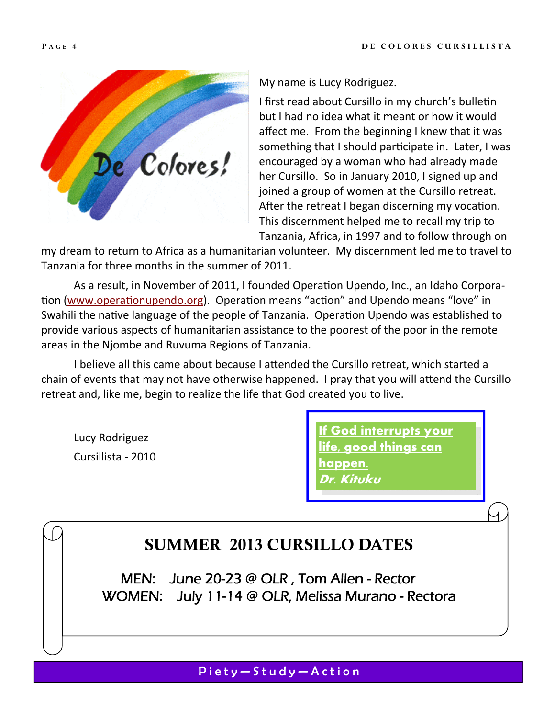

My name is Lucy Rodriguez.

I first read about Cursillo in my church's bulletin but I had no idea what it meant or how it would affect me. From the beginning I knew that it was something that I should participate in. Later, I was encouraged by a woman who had already made her Cursillo. So in January 2010, I signed up and joined a group of women at the Cursillo retreat. After the retreat I began discerning my vocation. This discernment helped me to recall my trip to Tanzania, Africa, in 1997 and to follow through on

my dream to return to Africa as a humanitarian volunteer. My discernment led me to travel to Tanzania for three months in the summer of 2011.

As a result, in November of 2011, I founded Operation Upendo, Inc., an Idaho Corporation (www.operationupendo.org). Operation means "action" and Upendo means "love" in Swahili the native language of the people of Tanzania. Operation Upendo was established to provide various aspects of humanitarian assistance to the poorest of the poor in the remote areas in the Njombe and Ruvuma Regions of Tanzania.

I believe all this came about because I attended the Cursillo retreat, which started a chain of events that may not have otherwise happened. I pray that you will attend the Cursillo retreat and, like me, begin to realize the life that God created you to live.

Lucy Rodriguez Cursillista ‐ 2010 **If God interrupts your life, good things can happen. Dr. Kituku** 

## SUMMER 2013 CURSILLO DATES

MEN: June 20-23 @ OLR , Tom Allen - Rector WOMEN: July 11-14 @ OLR, Melissa Murano - Rectora